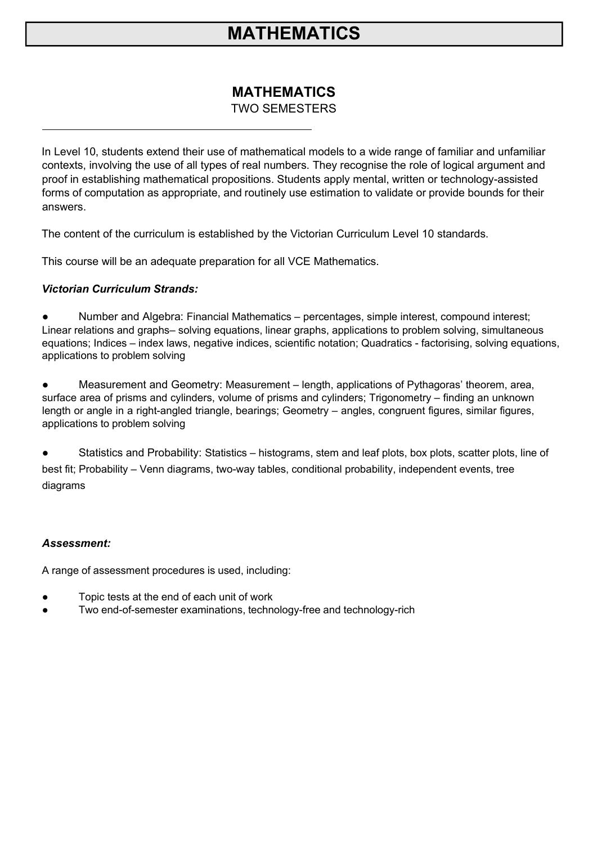# **MATHEMATICS**

### **MATHEMATICS** TWO SEMESTERS

In Level 10, students extend their use of mathematical models to a wide range of familiar and unfamiliar contexts, involving the use of all types of real numbers. They recognise the role of logical argument and proof in establishing mathematical propositions. Students apply mental, written or technology-assisted forms of computation as appropriate, and routinely use estimation to validate or provide bounds for their answers.

The content of the curriculum is established by the Victorian Curriculum Level 10 standards.

This course will be an adequate preparation for all VCE Mathematics.

#### *Victorian Curriculum Strands:*

Number and Algebra: Financial Mathematics – percentages, simple interest, compound interest; Linear relations and graphs– solving equations, linear graphs, applications to problem solving, simultaneous equations; Indices – index laws, negative indices, scientific notation; Quadratics - factorising, solving equations, applications to problem solving

● Measurement and Geometry: Measurement – length, applications of Pythagoras' theorem, area, surface area of prisms and cylinders, volume of prisms and cylinders; Trigonometry – finding an unknown length or angle in a right-angled triangle, bearings; Geometry – angles, congruent figures, similar figures, applications to problem solving

● Statistics and Probability: Statistics – histograms, stem and leaf plots, box plots, scatter plots, line of best fit; Probability – Venn diagrams, two-way tables, conditional probability, independent events, tree diagrams

#### *Assessment:*

A range of assessment procedures is used, including:

- Topic tests at the end of each unit of work
- Two end-of-semester examinations, technology-free and technology-rich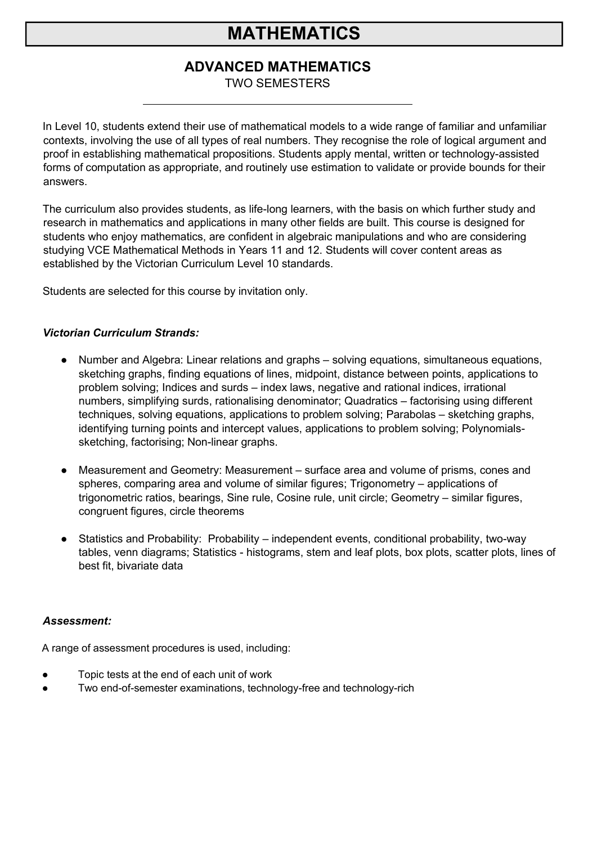# **MATHEMATICS**

### **ADVANCED MATHEMATICS**

TWO SEMESTERS

In Level 10, students extend their use of mathematical models to a wide range of familiar and unfamiliar contexts, involving the use of all types of real numbers. They recognise the role of logical argument and proof in establishing mathematical propositions. Students apply mental, written or technology-assisted forms of computation as appropriate, and routinely use estimation to validate or provide bounds for their answers.

The curriculum also provides students, as life-long learners, with the basis on which further study and research in mathematics and applications in many other fields are built. This course is designed for students who enjoy mathematics, are confident in algebraic manipulations and who are considering studying VCE Mathematical Methods in Years 11 and 12. Students will cover content areas as established by the Victorian Curriculum Level 10 standards.

Students are selected for this course by invitation only.

#### *Victorian Curriculum Strands:*

- Number and Algebra: Linear relations and graphs solving equations, simultaneous equations, sketching graphs, finding equations of lines, midpoint, distance between points, applications to problem solving; Indices and surds – index laws, negative and rational indices, irrational numbers, simplifying surds, rationalising denominator; Quadratics – factorising using different techniques, solving equations, applications to problem solving; Parabolas – sketching graphs, identifying turning points and intercept values, applications to problem solving; Polynomialssketching, factorising; Non-linear graphs.
- Measurement and Geometry: Measurement surface area and volume of prisms, cones and spheres, comparing area and volume of similar figures; Trigonometry – applications of trigonometric ratios, bearings, Sine rule, Cosine rule, unit circle; Geometry – similar figures, congruent figures, circle theorems
- Statistics and Probability: Probability independent events, conditional probability, two-way tables, venn diagrams; Statistics - histograms, stem and leaf plots, box plots, scatter plots, lines of best fit, bivariate data

#### *Assessment:*

A range of assessment procedures is used, including:

- Topic tests at the end of each unit of work
- Two end-of-semester examinations, technology-free and technology-rich